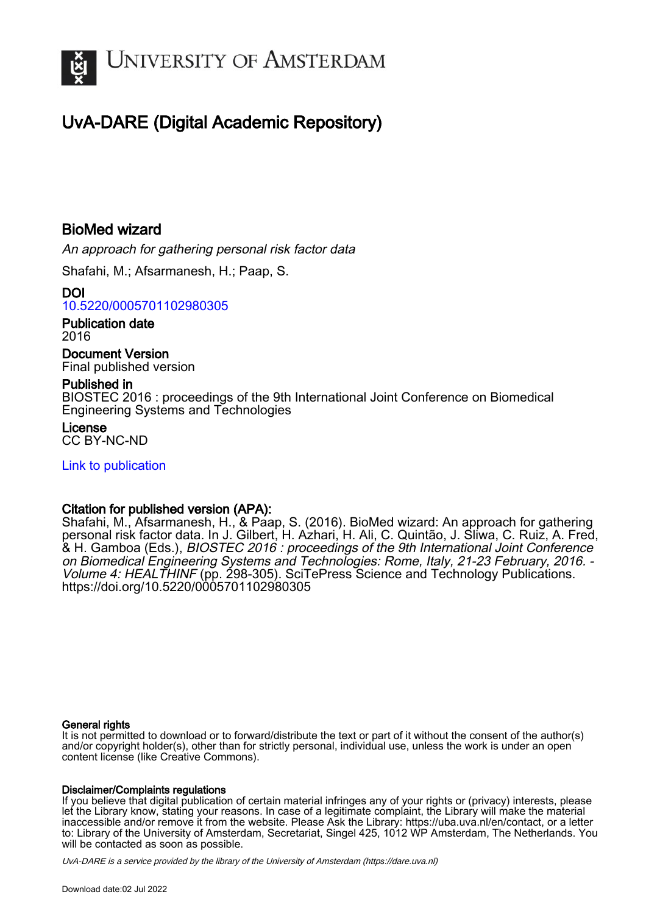

# UvA-DARE (Digital Academic Repository)

# BioMed wizard

An approach for gathering personal risk factor data

Shafahi, M.; Afsarmanesh, H.; Paap, S.

DOI [10.5220/0005701102980305](https://doi.org/10.5220/0005701102980305)

Publication date 2016

Document Version Final published version

#### Published in

BIOSTEC 2016 : proceedings of the 9th International Joint Conference on Biomedical Engineering Systems and Technologies

License CC BY-NC-ND

[Link to publication](https://dare.uva.nl/personal/pure/en/publications/biomed-wizard(cf57bb12-e1e5-4f6c-b916-d3be62f9f7b7).html)

#### Citation for published version (APA):

Shafahi, M., Afsarmanesh, H., & Paap, S. (2016). BioMed wizard: An approach for gathering personal risk factor data. In J. Gilbert, H. Azhari, H. Ali, C. Quintão, J. Sliwa, C. Ruiz, A. Fred, & H. Gamboa (Eds.), BIOSTEC 2016 : proceedings of the 9th International Joint Conference on Biomedical Engineering Systems and Technologies: Rome, Italy, 21-23 February, 2016. - Volume 4: HEALTHINF (pp. 298-305). SciTePress Science and Technology Publications. <https://doi.org/10.5220/0005701102980305>

#### General rights

It is not permitted to download or to forward/distribute the text or part of it without the consent of the author(s) and/or copyright holder(s), other than for strictly personal, individual use, unless the work is under an open content license (like Creative Commons).

#### Disclaimer/Complaints regulations

If you believe that digital publication of certain material infringes any of your rights or (privacy) interests, please let the Library know, stating your reasons. In case of a legitimate complaint, the Library will make the material inaccessible and/or remove it from the website. Please Ask the Library: https://uba.uva.nl/en/contact, or a letter to: Library of the University of Amsterdam, Secretariat, Singel 425, 1012 WP Amsterdam, The Netherlands. You will be contacted as soon as possible.

UvA-DARE is a service provided by the library of the University of Amsterdam (http*s*://dare.uva.nl)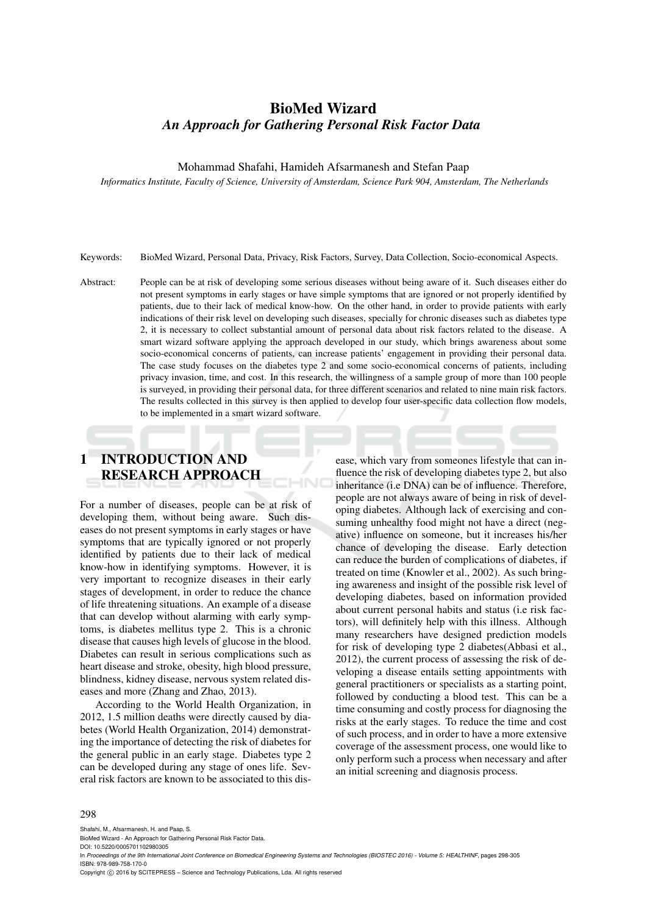### BioMed Wizard *An Approach for Gathering Personal Risk Factor Data*

Mohammad Shafahi, Hamideh Afsarmanesh and Stefan Paap

*Informatics Institute, Faculty of Science, University of Amsterdam, Science Park 904, Amsterdam, The Netherlands*

Keywords: BioMed Wizard, Personal Data, Privacy, Risk Factors, Survey, Data Collection, Socio-economical Aspects.

Abstract: People can be at risk of developing some serious diseases without being aware of it. Such diseases either do not present symptoms in early stages or have simple symptoms that are ignored or not properly identified by patients, due to their lack of medical know-how. On the other hand, in order to provide patients with early indications of their risk level on developing such diseases, specially for chronic diseases such as diabetes type 2, it is necessary to collect substantial amount of personal data about risk factors related to the disease. A smart wizard software applying the approach developed in our study, which brings awareness about some socio-economical concerns of patients, can increase patients' engagement in providing their personal data. The case study focuses on the diabetes type 2 and some socio-economical concerns of patients, including privacy invasion, time, and cost. In this research, the willingness of a sample group of more than 100 people is surveyed, in providing their personal data, for three different scenarios and related to nine main risk factors. The results collected in this survey is then applied to develop four user-specific data collection flow models, to be implemented in a smart wizard software.

## 1 INTRODUCTION AND RESEARCH APPROACH

For a number of diseases, people can be at risk of developing them, without being aware. Such diseases do not present symptoms in early stages or have symptoms that are typically ignored or not properly identified by patients due to their lack of medical know-how in identifying symptoms. However, it is very important to recognize diseases in their early stages of development, in order to reduce the chance of life threatening situations. An example of a disease that can develop without alarming with early symptoms, is diabetes mellitus type 2. This is a chronic disease that causes high levels of glucose in the blood. Diabetes can result in serious complications such as heart disease and stroke, obesity, high blood pressure, blindness, kidney disease, nervous system related diseases and more (Zhang and Zhao, 2013).

According to the World Health Organization, in 2012, 1.5 million deaths were directly caused by diabetes (World Health Organization, 2014) demonstrating the importance of detecting the risk of diabetes for the general public in an early stage. Diabetes type 2 can be developed during any stage of ones life. Several risk factors are known to be associated to this dis-

ease, which vary from someones lifestyle that can influence the risk of developing diabetes type 2, but also inheritance (i.e DNA) can be of influence. Therefore, people are not always aware of being in risk of developing diabetes. Although lack of exercising and consuming unhealthy food might not have a direct (negative) influence on someone, but it increases his/her chance of developing the disease. Early detection can reduce the burden of complications of diabetes, if treated on time (Knowler et al., 2002). As such bringing awareness and insight of the possible risk level of developing diabetes, based on information provided about current personal habits and status (i.e risk factors), will definitely help with this illness. Although many researchers have designed prediction models for risk of developing type 2 diabetes(Abbasi et al., 2012), the current process of assessing the risk of developing a disease entails setting appointments with general practitioners or specialists as a starting point, followed by conducting a blood test. This can be a time consuming and costly process for diagnosing the risks at the early stages. To reduce the time and cost of such process, and in order to have a more extensive coverage of the assessment process, one would like to only perform such a process when necessary and after an initial screening and diagnosis process.

#### 298

Shafahi, M., Afsarmanesh, H. and Paap, S.

BioMed Wizard - An Approach for Gathering Personal Risk Factor Data.

DOI: 10.5220/0005701102980305

In *Proceedings of the 9th International Joint Conference on Biomedical Engineering Systems and Technologies (BIOSTEC 2016) - Volume 5: HEALTHINF*, pages 298-305 ISBN: 978-989-758-170-0

Copyright (C) 2016 by SCITEPRESS - Science and Technology Publications, Lda. All rights reserved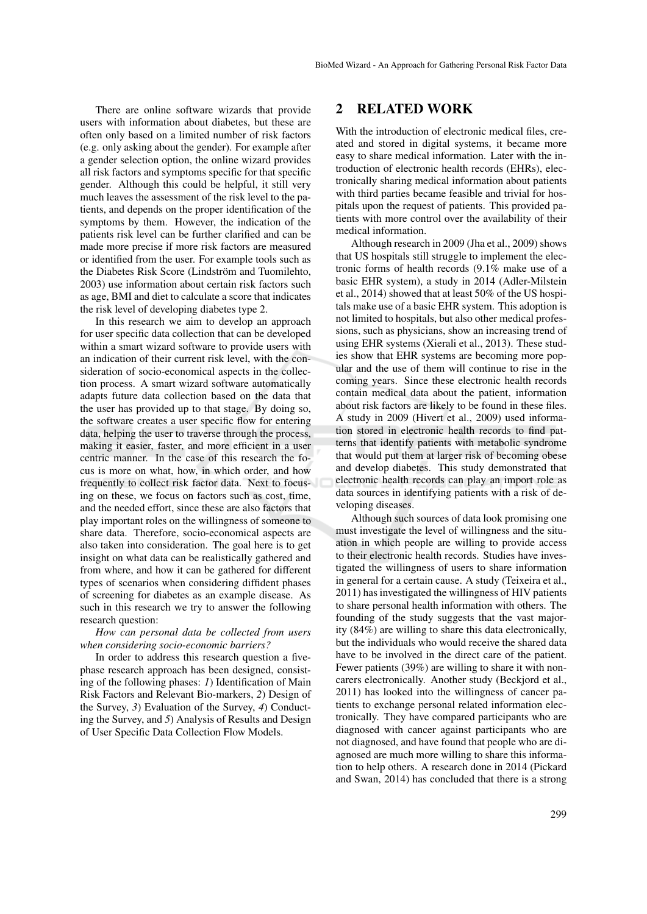There are online software wizards that provide users with information about diabetes, but these are often only based on a limited number of risk factors (e.g. only asking about the gender). For example after a gender selection option, the online wizard provides all risk factors and symptoms specific for that specific gender. Although this could be helpful, it still very much leaves the assessment of the risk level to the patients, and depends on the proper identification of the symptoms by them. However, the indication of the patients risk level can be further clarified and can be made more precise if more risk factors are measured or identified from the user. For example tools such as the Diabetes Risk Score (Lindström and Tuomilehto, 2003) use information about certain risk factors such as age, BMI and diet to calculate a score that indicates the risk level of developing diabetes type 2.

In this research we aim to develop an approach for user specific data collection that can be developed within a smart wizard software to provide users with an indication of their current risk level, with the consideration of socio-economical aspects in the collection process. A smart wizard software automatically adapts future data collection based on the data that the user has provided up to that stage. By doing so, the software creates a user specific flow for entering data, helping the user to traverse through the process, making it easier, faster, and more efficient in a user centric manner. In the case of this research the focus is more on what, how, in which order, and how frequently to collect risk factor data. Next to focusing on these, we focus on factors such as cost, time, and the needed effort, since these are also factors that play important roles on the willingness of someone to share data. Therefore, socio-economical aspects are also taken into consideration. The goal here is to get insight on what data can be realistically gathered and from where, and how it can be gathered for different types of scenarios when considering diffident phases of screening for diabetes as an example disease. As such in this research we try to answer the following research question:

#### *How can personal data be collected from users when considering socio-economic barriers?*

In order to address this research question a fivephase research approach has been designed, consisting of the following phases: *1*) Identification of Main Risk Factors and Relevant Bio-markers, *2*) Design of the Survey, *3*) Evaluation of the Survey, *4*) Conducting the Survey, and *5*) Analysis of Results and Design of User Specific Data Collection Flow Models.

#### 2 RELATED WORK

With the introduction of electronic medical files, created and stored in digital systems, it became more easy to share medical information. Later with the introduction of electronic health records (EHRs), electronically sharing medical information about patients with third parties became feasible and trivial for hospitals upon the request of patients. This provided patients with more control over the availability of their medical information.

Although research in 2009 (Jha et al., 2009) shows that US hospitals still struggle to implement the electronic forms of health records (9.1% make use of a basic EHR system), a study in 2014 (Adler-Milstein et al., 2014) showed that at least 50% of the US hospitals make use of a basic EHR system. This adoption is not limited to hospitals, but also other medical professions, such as physicians, show an increasing trend of using EHR systems (Xierali et al., 2013). These studies show that EHR systems are becoming more popular and the use of them will continue to rise in the coming years. Since these electronic health records contain medical data about the patient, information about risk factors are likely to be found in these files. A study in 2009 (Hivert et al., 2009) used information stored in electronic health records to find patterns that identify patients with metabolic syndrome that would put them at larger risk of becoming obese and develop diabetes. This study demonstrated that electronic health records can play an import role as data sources in identifying patients with a risk of developing diseases.

Although such sources of data look promising one must investigate the level of willingness and the situation in which people are willing to provide access to their electronic health records. Studies have investigated the willingness of users to share information in general for a certain cause. A study (Teixeira et al., 2011) has investigated the willingness of HIV patients to share personal health information with others. The founding of the study suggests that the vast majority (84%) are willing to share this data electronically, but the individuals who would receive the shared data have to be involved in the direct care of the patient. Fewer patients (39%) are willing to share it with noncarers electronically. Another study (Beckjord et al., 2011) has looked into the willingness of cancer patients to exchange personal related information electronically. They have compared participants who are diagnosed with cancer against participants who are not diagnosed, and have found that people who are diagnosed are much more willing to share this information to help others. A research done in 2014 (Pickard and Swan, 2014) has concluded that there is a strong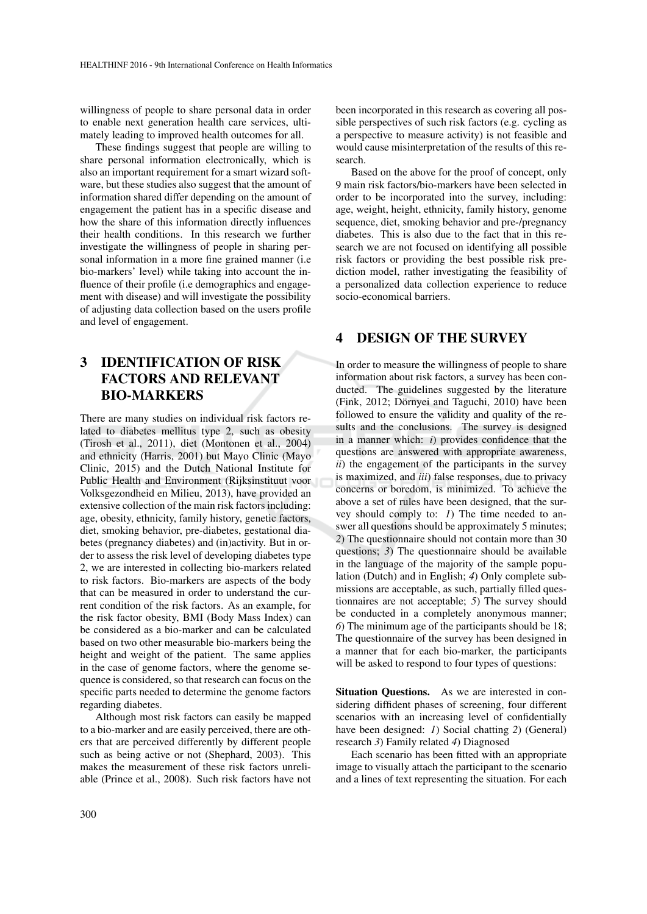willingness of people to share personal data in order to enable next generation health care services, ultimately leading to improved health outcomes for all.

These findings suggest that people are willing to share personal information electronically, which is also an important requirement for a smart wizard software, but these studies also suggest that the amount of information shared differ depending on the amount of engagement the patient has in a specific disease and how the share of this information directly influences their health conditions. In this research we further investigate the willingness of people in sharing personal information in a more fine grained manner (i.e. bio-markers' level) while taking into account the influence of their profile (i.e demographics and engagement with disease) and will investigate the possibility of adjusting data collection based on the users profile and level of engagement.

### 3 IDENTIFICATION OF RISK FACTORS AND RELEVANT BIO-MARKERS

There are many studies on individual risk factors related to diabetes mellitus type 2, such as obesity (Tirosh et al., 2011), diet (Montonen et al., 2004) and ethnicity (Harris, 2001) but Mayo Clinic (Mayo Clinic, 2015) and the Dutch National Institute for Public Health and Environment (Rijksinstituut voor Volksgezondheid en Milieu, 2013), have provided an extensive collection of the main risk factors including: age, obesity, ethnicity, family history, genetic factors, diet, smoking behavior, pre-diabetes, gestational diabetes (pregnancy diabetes) and (in)activity. But in order to assess the risk level of developing diabetes type 2, we are interested in collecting bio-markers related to risk factors. Bio-markers are aspects of the body that can be measured in order to understand the current condition of the risk factors. As an example, for the risk factor obesity, BMI (Body Mass Index) can be considered as a bio-marker and can be calculated based on two other measurable bio-markers being the height and weight of the patient. The same applies in the case of genome factors, where the genome sequence is considered, so that research can focus on the specific parts needed to determine the genome factors regarding diabetes.

Although most risk factors can easily be mapped to a bio-marker and are easily perceived, there are others that are perceived differently by different people such as being active or not (Shephard, 2003). This makes the measurement of these risk factors unreliable (Prince et al., 2008). Such risk factors have not

been incorporated in this research as covering all possible perspectives of such risk factors (e.g. cycling as a perspective to measure activity) is not feasible and would cause misinterpretation of the results of this research.

Based on the above for the proof of concept, only 9 main risk factors/bio-markers have been selected in order to be incorporated into the survey, including: age, weight, height, ethnicity, family history, genome sequence, diet, smoking behavior and pre-/pregnancy diabetes. This is also due to the fact that in this research we are not focused on identifying all possible risk factors or providing the best possible risk prediction model, rather investigating the feasibility of a personalized data collection experience to reduce socio-economical barriers.

#### 4 DESIGN OF THE SURVEY

In order to measure the willingness of people to share information about risk factors, a survey has been conducted. The guidelines suggested by the literature (Fink, 2012; Dörnyei and Taguchi, 2010) have been followed to ensure the validity and quality of the results and the conclusions. The survey is designed in a manner which: *i*) provides confidence that the questions are answered with appropriate awareness, *ii*) the engagement of the participants in the survey is maximized, and *iii*) false responses, due to privacy concerns or boredom, is minimized. To achieve the above a set of rules have been designed, that the survey should comply to: *1*) The time needed to answer all questions should be approximately 5 minutes; *2*) The questionnaire should not contain more than 30 questions; *3*) The questionnaire should be available in the language of the majority of the sample population (Dutch) and in English; *4*) Only complete submissions are acceptable, as such, partially filled questionnaires are not acceptable; *5*) The survey should be conducted in a completely anonymous manner; *6*) The minimum age of the participants should be 18; The questionnaire of the survey has been designed in a manner that for each bio-marker, the participants will be asked to respond to four types of questions:

Situation Questions. As we are interested in considering diffident phases of screening, four different scenarios with an increasing level of confidentially have been designed: *1*) Social chatting *2*) (General) research *3*) Family related *4*) Diagnosed

Each scenario has been fitted with an appropriate image to visually attach the participant to the scenario and a lines of text representing the situation. For each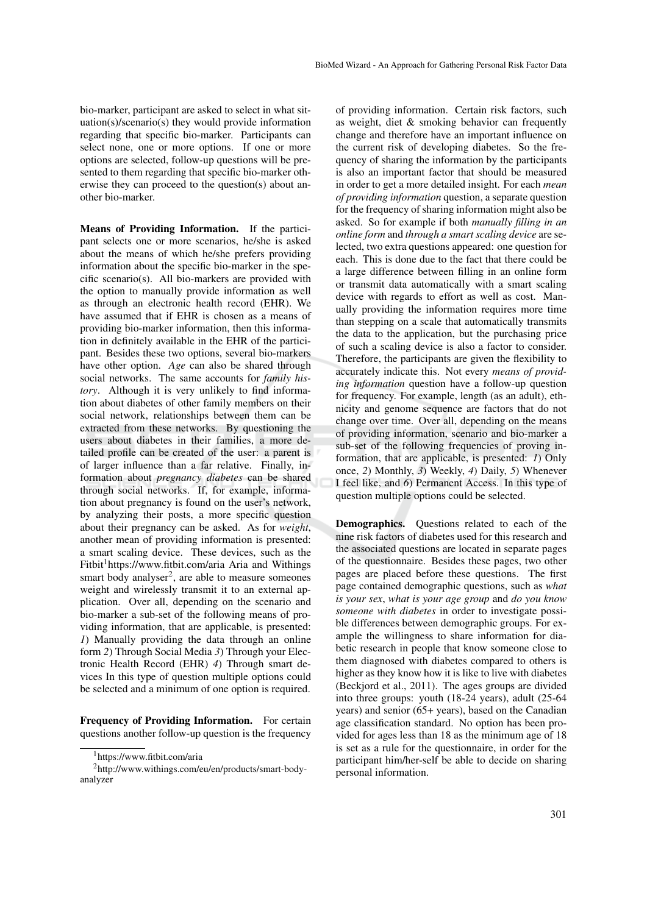bio-marker, participant are asked to select in what situation(s)/scenario(s) they would provide information regarding that specific bio-marker. Participants can select none, one or more options. If one or more options are selected, follow-up questions will be presented to them regarding that specific bio-marker otherwise they can proceed to the question(s) about another bio-marker.

Means of Providing Information. If the participant selects one or more scenarios, he/she is asked about the means of which he/she prefers providing information about the specific bio-marker in the specific scenario(s). All bio-markers are provided with the option to manually provide information as well as through an electronic health record (EHR). We have assumed that if EHR is chosen as a means of providing bio-marker information, then this information in definitely available in the EHR of the participant. Besides these two options, several bio-markers have other option. *Age* can also be shared through social networks. The same accounts for *family history*. Although it is very unlikely to find information about diabetes of other family members on their social network, relationships between them can be extracted from these networks. By questioning the users about diabetes in their families, a more detailed profile can be created of the user: a parent is of larger influence than a far relative. Finally, information about *pregnancy diabetes* can be shared through social networks. If, for example, information about pregnancy is found on the user's network, by analyzing their posts, a more specific question about their pregnancy can be asked. As for *weight*, another mean of providing information is presented: a smart scaling device. These devices, such as the Fitbit<sup>1</sup>https://www.fitbit.com/aria Aria and Withings smart body analyser<sup>2</sup>, are able to measure someones weight and wirelessly transmit it to an external application. Over all, depending on the scenario and bio-marker a sub-set of the following means of providing information, that are applicable, is presented: *1*) Manually providing the data through an online form *2*) Through Social Media *3*) Through your Electronic Health Record (EHR) *4*) Through smart devices In this type of question multiple options could be selected and a minimum of one option is required.

Frequency of Providing Information. For certain questions another follow-up question is the frequency

of providing information. Certain risk factors, such as weight, diet & smoking behavior can frequently change and therefore have an important influence on the current risk of developing diabetes. So the frequency of sharing the information by the participants is also an important factor that should be measured in order to get a more detailed insight. For each *mean of providing information* question, a separate question for the frequency of sharing information might also be asked. So for example if both *manually filling in an online form* and *through a smart scaling device* are selected, two extra questions appeared: one question for each. This is done due to the fact that there could be a large difference between filling in an online form or transmit data automatically with a smart scaling device with regards to effort as well as cost. Manually providing the information requires more time than stepping on a scale that automatically transmits the data to the application, but the purchasing price of such a scaling device is also a factor to consider. Therefore, the participants are given the flexibility to accurately indicate this. Not every *means of providing information* question have a follow-up question for frequency. For example, length (as an adult), ethnicity and genome sequence are factors that do not change over time. Over all, depending on the means of providing information, scenario and bio-marker a sub-set of the following frequencies of proving information, that are applicable, is presented: *1*) Only once, *2*) Monthly, *3*) Weekly, *4*) Daily, *5*) Whenever I feel like, and *6*) Permanent Access. In this type of question multiple options could be selected.

Demographics. Questions related to each of the nine risk factors of diabetes used for this research and the associated questions are located in separate pages of the questionnaire. Besides these pages, two other pages are placed before these questions. The first page contained demographic questions, such as *what is your sex*, *what is your age group* and *do you know someone with diabetes* in order to investigate possible differences between demographic groups. For example the willingness to share information for diabetic research in people that know someone close to them diagnosed with diabetes compared to others is higher as they know how it is like to live with diabetes (Beckjord et al., 2011). The ages groups are divided into three groups: youth (18-24 years), adult (25-64 years) and senior (65+ years), based on the Canadian age classification standard. No option has been provided for ages less than 18 as the minimum age of 18 is set as a rule for the questionnaire, in order for the participant him/her-self be able to decide on sharing personal information.

<sup>1</sup>https://www.fitbit.com/aria

<sup>2</sup>http://www.withings.com/eu/en/products/smart-bodyanalyzer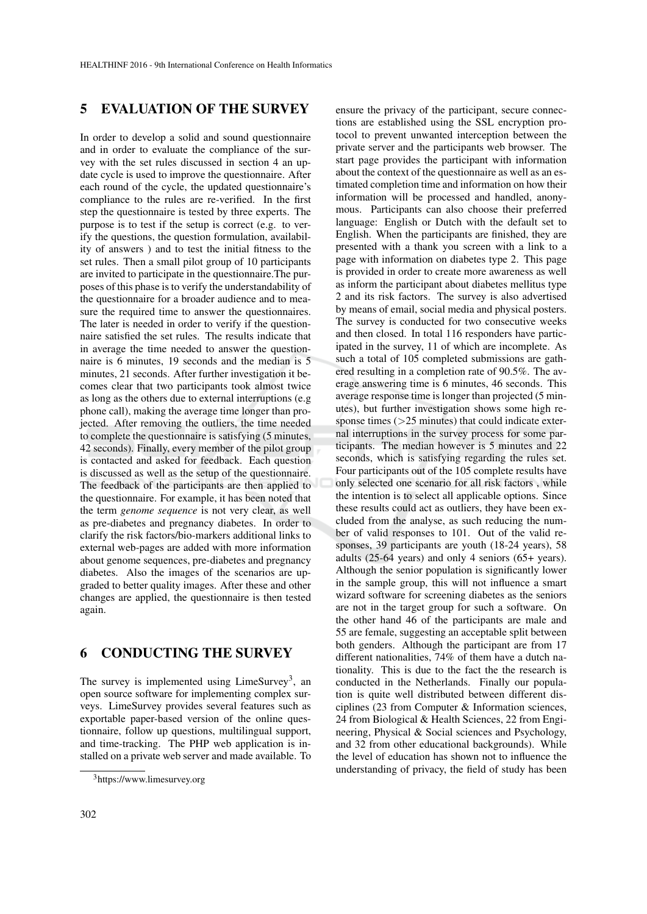### 5 EVALUATION OF THE SURVEY

In order to develop a solid and sound questionnaire and in order to evaluate the compliance of the survey with the set rules discussed in section 4 an update cycle is used to improve the questionnaire. After each round of the cycle, the updated questionnaire's compliance to the rules are re-verified. In the first step the questionnaire is tested by three experts. The purpose is to test if the setup is correct (e.g. to verify the questions, the question formulation, availability of answers ) and to test the initial fitness to the set rules. Then a small pilot group of 10 participants are invited to participate in the questionnaire.The purposes of this phase is to verify the understandability of the questionnaire for a broader audience and to measure the required time to answer the questionnaires. The later is needed in order to verify if the questionnaire satisfied the set rules. The results indicate that in average the time needed to answer the questionnaire is 6 minutes, 19 seconds and the median is 5 minutes, 21 seconds. After further investigation it becomes clear that two participants took almost twice as long as the others due to external interruptions (e.g phone call), making the average time longer than projected. After removing the outliers, the time needed to complete the questionnaire is satisfying (5 minutes, 42 seconds). Finally, every member of the pilot group is contacted and asked for feedback. Each question is discussed as well as the setup of the questionnaire. The feedback of the participants are then applied to the questionnaire. For example, it has been noted that the term *genome sequence* is not very clear, as well as pre-diabetes and pregnancy diabetes. In order to clarify the risk factors/bio-markers additional links to external web-pages are added with more information about genome sequences, pre-diabetes and pregnancy diabetes. Also the images of the scenarios are upgraded to better quality images. After these and other changes are applied, the questionnaire is then tested again.

### 6 CONDUCTING THE SURVEY

The survey is implemented using LimeSurvey<sup>3</sup>, an open source software for implementing complex surveys. LimeSurvey provides several features such as exportable paper-based version of the online questionnaire, follow up questions, multilingual support, and time-tracking. The PHP web application is installed on a private web server and made available. To ensure the privacy of the participant, secure connections are established using the SSL encryption protocol to prevent unwanted interception between the private server and the participants web browser. The start page provides the participant with information about the context of the questionnaire as well as an estimated completion time and information on how their information will be processed and handled, anonymous. Participants can also choose their preferred language: English or Dutch with the default set to English. When the participants are finished, they are presented with a thank you screen with a link to a page with information on diabetes type 2. This page is provided in order to create more awareness as well as inform the participant about diabetes mellitus type 2 and its risk factors. The survey is also advertised by means of email, social media and physical posters. The survey is conducted for two consecutive weeks and then closed. In total 116 responders have participated in the survey, 11 of which are incomplete. As such a total of 105 completed submissions are gathered resulting in a completion rate of 90.5%. The average answering time is 6 minutes, 46 seconds. This average response time is longer than projected (5 minutes), but further investigation shows some high response times (>25 minutes) that could indicate external interruptions in the survey process for some participants. The median however is 5 minutes and 22 seconds, which is satisfying regarding the rules set. Four participants out of the 105 complete results have only selected one scenario for all risk factors , while the intention is to select all applicable options. Since these results could act as outliers, they have been excluded from the analyse, as such reducing the number of valid responses to 101. Out of the valid responses, 39 participants are youth (18-24 years), 58 adults (25-64 years) and only 4 seniors (65+ years). Although the senior population is significantly lower in the sample group, this will not influence a smart wizard software for screening diabetes as the seniors are not in the target group for such a software. On the other hand 46 of the participants are male and 55 are female, suggesting an acceptable split between both genders. Although the participant are from 17 different nationalities, 74% of them have a dutch nationality. This is due to the fact the the research is conducted in the Netherlands. Finally our population is quite well distributed between different disciplines (23 from Computer & Information sciences, 24 from Biological & Health Sciences, 22 from Engineering, Physical & Social sciences and Psychology, and 32 from other educational backgrounds). While the level of education has shown not to influence the understanding of privacy, the field of study has been

<sup>3</sup>https://www.limesurvey.org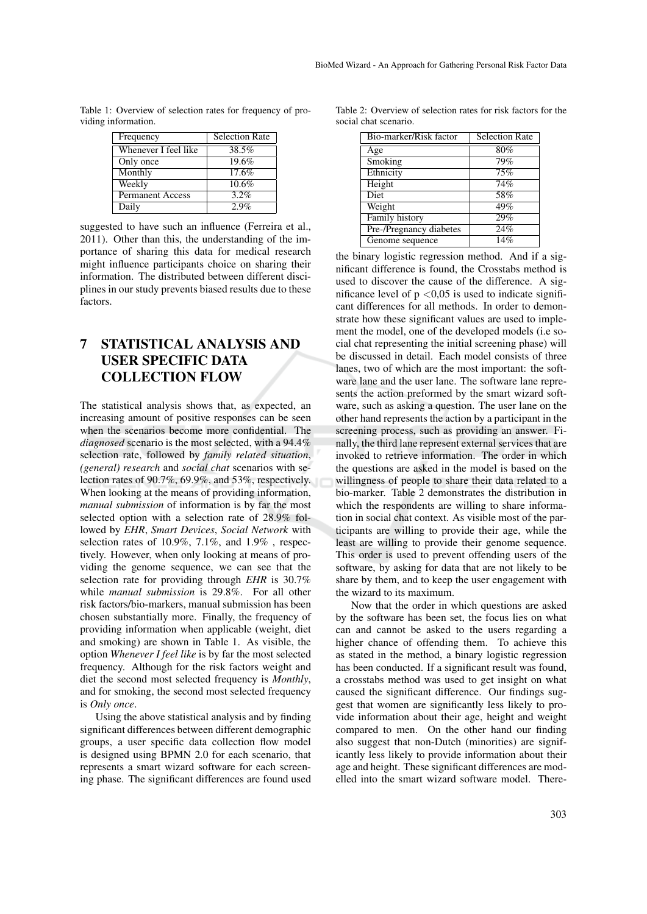| Frequency               | <b>Selection Rate</b> |
|-------------------------|-----------------------|
| Whenever I feel like    | 38.5%                 |
| Only once               | 19.6%                 |
| Monthly                 | 17.6%                 |
| Weekly                  | 10.6%                 |
| <b>Permanent Access</b> | 3.2%                  |
| Daily                   | $2.9\%$               |

Table 1: Overview of selection rates for frequency of providing information.

suggested to have such an influence (Ferreira et al., 2011). Other than this, the understanding of the importance of sharing this data for medical research might influence participants choice on sharing their information. The distributed between different disciplines in our study prevents biased results due to these factors.

### 7 STATISTICAL ANALYSIS AND USER SPECIFIC DATA COLLECTION FLOW

The statistical analysis shows that, as expected, an increasing amount of positive responses can be seen when the scenarios become more confidential. The *diagnosed* scenario is the most selected, with a 94.4% selection rate, followed by *family related situation*, *(general) research* and *social chat* scenarios with selection rates of 90.7%, 69.9%, and 53%, respectively. When looking at the means of providing information, *manual submission* of information is by far the most selected option with a selection rate of 28.9% followed by *EHR*, *Smart Devices*, *Social Network* with selection rates of 10.9%, 7.1%, and 1.9% , respectively. However, when only looking at means of providing the genome sequence, we can see that the selection rate for providing through *EHR* is 30.7% while *manual submission* is 29.8%. For all other risk factors/bio-markers, manual submission has been chosen substantially more. Finally, the frequency of providing information when applicable (weight, diet and smoking) are shown in Table 1. As visible, the option *Whenever I feel like* is by far the most selected frequency. Although for the risk factors weight and diet the second most selected frequency is *Monthly*, and for smoking, the second most selected frequency is *Only once*.

Using the above statistical analysis and by finding significant differences between different demographic groups, a user specific data collection flow model is designed using BPMN 2.0 for each scenario, that represents a smart wizard software for each screening phase. The significant differences are found used

Table 2: Overview of selection rates for risk factors for the social chat scenario.

| Bio-marker/Risk factor  | Selection Rate |
|-------------------------|----------------|
| Age                     | 80%            |
| Smoking                 | 79%            |
| Ethnicity               | 75%            |
| Height                  | 74%            |
| <b>Diet</b>             | 58%            |
| Weight                  | 49%            |
| Family history          | 29%            |
| Pre-/Pregnancy diabetes | 24%            |
| Genome sequence         | 14%            |

the binary logistic regression method. And if a significant difference is found, the Crosstabs method is used to discover the cause of the difference. A significance level of  $p < 0.05$  is used to indicate significant differences for all methods. In order to demonstrate how these significant values are used to implement the model, one of the developed models (i.e social chat representing the initial screening phase) will be discussed in detail. Each model consists of three lanes, two of which are the most important: the software lane and the user lane. The software lane represents the action preformed by the smart wizard software, such as asking a question. The user lane on the other hand represents the action by a participant in the screening process, such as providing an answer. Finally, the third lane represent external services that are invoked to retrieve information. The order in which the questions are asked in the model is based on the willingness of people to share their data related to a bio-marker. Table 2 demonstrates the distribution in which the respondents are willing to share information in social chat context. As visible most of the participants are willing to provide their age, while the least are willing to provide their genome sequence. This order is used to prevent offending users of the software, by asking for data that are not likely to be share by them, and to keep the user engagement with the wizard to its maximum.

Now that the order in which questions are asked by the software has been set, the focus lies on what can and cannot be asked to the users regarding a higher chance of offending them. To achieve this as stated in the method, a binary logistic regression has been conducted. If a significant result was found, a crosstabs method was used to get insight on what caused the significant difference. Our findings suggest that women are significantly less likely to provide information about their age, height and weight compared to men. On the other hand our finding also suggest that non-Dutch (minorities) are significantly less likely to provide information about their age and height. These significant differences are modelled into the smart wizard software model. There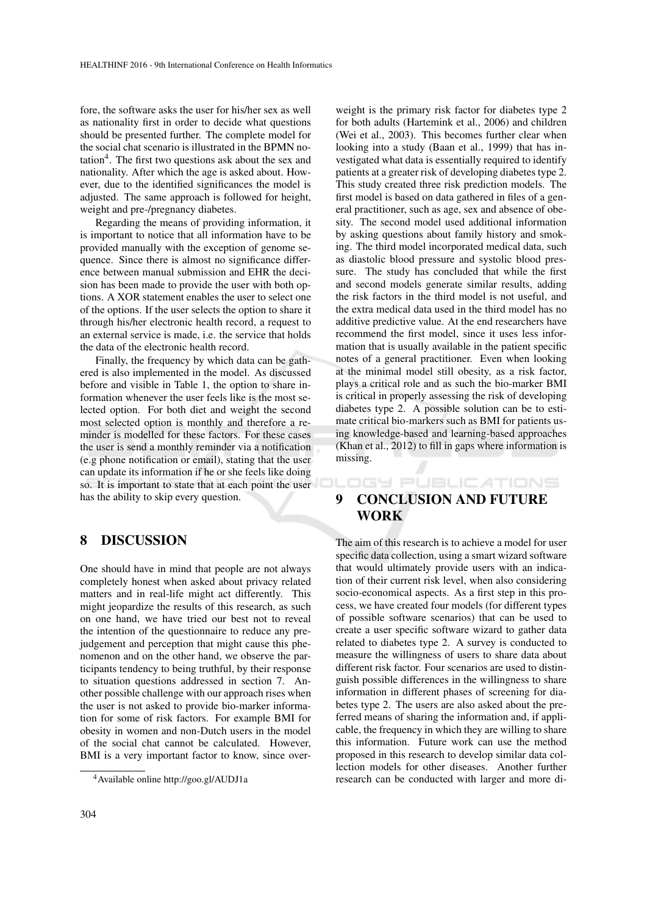fore, the software asks the user for his/her sex as well as nationality first in order to decide what questions should be presented further. The complete model for the social chat scenario is illustrated in the BPMN notation<sup>4</sup>. The first two questions ask about the sex and nationality. After which the age is asked about. However, due to the identified significances the model is adjusted. The same approach is followed for height, weight and pre-/pregnancy diabetes.

Regarding the means of providing information, it is important to notice that all information have to be provided manually with the exception of genome sequence. Since there is almost no significance difference between manual submission and EHR the decision has been made to provide the user with both options. A XOR statement enables the user to select one of the options. If the user selects the option to share it through his/her electronic health record, a request to an external service is made, i.e. the service that holds the data of the electronic health record.

Finally, the frequency by which data can be gathered is also implemented in the model. As discussed before and visible in Table 1, the option to share information whenever the user feels like is the most selected option. For both diet and weight the second most selected option is monthly and therefore a reminder is modelled for these factors. For these cases the user is send a monthly reminder via a notification (e.g phone notification or email), stating that the user can update its information if he or she feels like doing so. It is important to state that at each point the user has the ability to skip every question.

#### 8 DISCUSSION

One should have in mind that people are not always completely honest when asked about privacy related matters and in real-life might act differently. This might jeopardize the results of this research, as such on one hand, we have tried our best not to reveal the intention of the questionnaire to reduce any prejudgement and perception that might cause this phenomenon and on the other hand, we observe the participants tendency to being truthful, by their response to situation questions addressed in section 7. Another possible challenge with our approach rises when the user is not asked to provide bio-marker information for some of risk factors. For example BMI for obesity in women and non-Dutch users in the model of the social chat cannot be calculated. However, BMI is a very important factor to know, since over-

weight is the primary risk factor for diabetes type 2 for both adults (Hartemink et al., 2006) and children (Wei et al., 2003). This becomes further clear when looking into a study (Baan et al., 1999) that has investigated what data is essentially required to identify patients at a greater risk of developing diabetes type 2. This study created three risk prediction models. The first model is based on data gathered in files of a general practitioner, such as age, sex and absence of obesity. The second model used additional information by asking questions about family history and smoking. The third model incorporated medical data, such as diastolic blood pressure and systolic blood pressure. The study has concluded that while the first and second models generate similar results, adding the risk factors in the third model is not useful, and the extra medical data used in the third model has no additive predictive value. At the end researchers have recommend the first model, since it uses less information that is usually available in the patient specific notes of a general practitioner. Even when looking at the minimal model still obesity, as a risk factor, plays a critical role and as such the bio-marker BMI is critical in properly assessing the risk of developing diabetes type 2. A possible solution can be to estimate critical bio-markers such as BMI for patients using knowledge-based and learning-based approaches (Khan et al., 2012) to fill in gaps where information is missing.

### 9 CONCLUSION AND FUTURE WORK

**DGY PUBLICATIONS** 

The aim of this research is to achieve a model for user specific data collection, using a smart wizard software that would ultimately provide users with an indication of their current risk level, when also considering socio-economical aspects. As a first step in this process, we have created four models (for different types of possible software scenarios) that can be used to create a user specific software wizard to gather data related to diabetes type 2. A survey is conducted to measure the willingness of users to share data about different risk factor. Four scenarios are used to distinguish possible differences in the willingness to share information in different phases of screening for diabetes type 2. The users are also asked about the preferred means of sharing the information and, if applicable, the frequency in which they are willing to share this information. Future work can use the method proposed in this research to develop similar data collection models for other diseases. Another further research can be conducted with larger and more di-

<sup>4</sup>Available online http://goo.gl/AUDJ1a